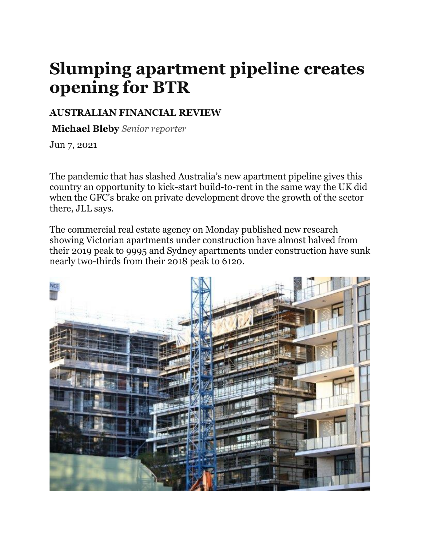## **Slumping apartment pipeline creates opening for BTR**

## **AUSTRALIAN FINANCIAL REVIEW**

**[Michael](https://www.afr.com/by/michael-bleby-j67se) Bleby** *Senior reporter*

Jun 7, 2021

The pandemic that has slashed Australia's new apartment pipeline gives this country an opportunity to kick-start build-to-rent in the same way the UK did when the GFC's brake on private development drove the growth of the sector there, JLL says.

The commercial real estate agency on Monday published new research showing Victorian apartments under construction have almost halved from their 2019 peak to 9995 and Sydney apartments under construction have sunk nearly two-thirds from their 2018 peak to 6120.

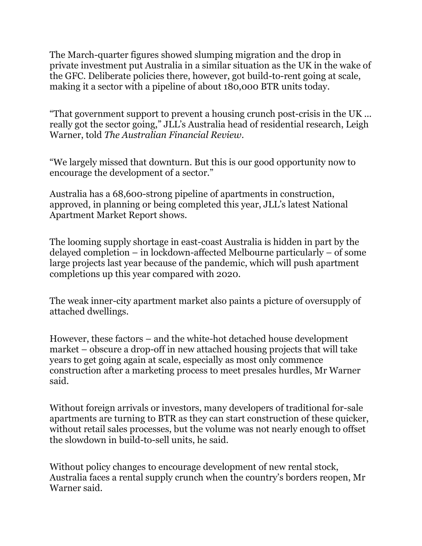The March-quarter figures showed slumping migration and the drop in private investment put Australia in a similar situation as the UK in the wake of the GFC. Deliberate policies there, however, got build-to-rent going at scale, making it a sector with a pipeline of about 180,000 BTR units today.

"That government support to prevent a housing crunch post-crisis in the UK ... really got the sector going," JLL's Australia head of residential research, Leigh Warner, told *The Australian Financial Review*.

"We largely missed that downturn. But this is our good opportunity now to encourage the development of a sector."

Australia has a 68,600-strong pipeline of apartments in construction, approved, in planning or being completed this year, JLL's latest National Apartment Market Report shows.

The looming supply shortage in east-coast Australia is hidden in part by the delayed completion – in lockdown-affected Melbourne particularly – of some large projects last year because of the pandemic, which will push apartment completions up this year compared with 2020.

The weak inner-city apartment market also paints a picture of oversupply of attached dwellings.

However, these factors – and the white-hot detached house development market – obscure a drop-off in new attached housing projects that will take years to get going again at scale, especially as most only commence construction after a marketing process to meet presales hurdles, Mr Warner said.

Without foreign arrivals or investors, many developers of traditional for-sale apartments are turning to BTR as they can start construction of these quicker, without retail sales processes, but the volume was not nearly enough to offset the slowdown in build-to-sell units, he said.

Without policy changes to encourage development of new rental stock, Australia faces a rental supply crunch when the country's borders reopen, Mr Warner said.